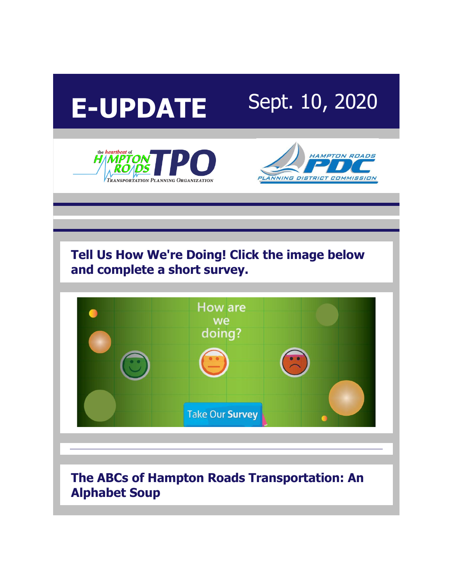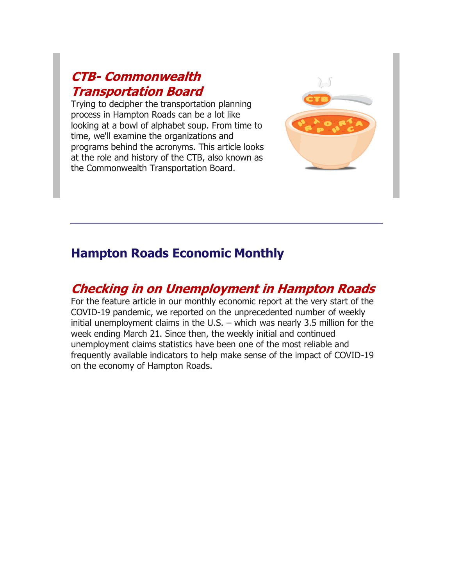## **CTB- [Commonwealth](http://r20.rs6.net/tn.jsp?f=001d5GhNGdUQJMlj9Sn_tsyOBYKzeNUrHEl2xqBHJdMnEVkIX8IGfQt1hIhPZmsDgAtMvvGXRkhYlwTBRCIctCXuCqC-UkDKsuHhdGjMOp21GLKhnQpb_zUteab4qj2hu6sXVtcipbJqMctOYDceLi_ZavFMQBBW3X2Y-H293dImfcrZ4lFsM3zkoTf0k7mtVyPdcHf9vEcVhBuRGLmbewQh1141of20MSLJkmeSqJ_28xFBGsFF8JiI6O0d5evsS943RWIkB9sWencpgFCh1zfb0sZ2FpBDbOR&c=suWko0Nqf4LFc_iPddlmSqYyFRYv4XVheuAeA-sQvSpgb6a-PCoCBw==&ch=acaucqMRDFEuAsr6CmCYDA3koBCyc0i5bVi6iW4jvTjzKvPZhF0rCw==)  [Transportation Board](http://r20.rs6.net/tn.jsp?f=001d5GhNGdUQJMlj9Sn_tsyOBYKzeNUrHEl2xqBHJdMnEVkIX8IGfQt1hIhPZmsDgAtMvvGXRkhYlwTBRCIctCXuCqC-UkDKsuHhdGjMOp21GLKhnQpb_zUteab4qj2hu6sXVtcipbJqMctOYDceLi_ZavFMQBBW3X2Y-H293dImfcrZ4lFsM3zkoTf0k7mtVyPdcHf9vEcVhBuRGLmbewQh1141of20MSLJkmeSqJ_28xFBGsFF8JiI6O0d5evsS943RWIkB9sWencpgFCh1zfb0sZ2FpBDbOR&c=suWko0Nqf4LFc_iPddlmSqYyFRYv4XVheuAeA-sQvSpgb6a-PCoCBw==&ch=acaucqMRDFEuAsr6CmCYDA3koBCyc0i5bVi6iW4jvTjzKvPZhF0rCw==)**

Trying to decipher the transportation planning process in Hampton Roads can be a lot like looking at a bowl of alphabet soup. From time to time, we'll examine the organizations and programs behind the acronyms. This article looks at the role and history of the CTB, also known as the Commonwealth Transportation Board.



### **Hampton Roads Economic Monthly**

# **[Checking in on Unemployment in Hampton Roads](http://r20.rs6.net/tn.jsp?f=001d5GhNGdUQJMlj9Sn_tsyOBYKzeNUrHEl2xqBHJdMnEVkIX8IGfQt1hIhPZmsDgAtB33YEzaLEhYaNcqgsX1jZ_D8L5E9e0BTCFESnimNq5CTs8d0VKi-c_sehAghpGDyPHh1ENsWfiIMScmH8nzDMSGNfvLSw-EAnFTAMZv9lyS9c7Vbqk2E8HT-c21MMnMC8YC7EtIYuPA=&c=suWko0Nqf4LFc_iPddlmSqYyFRYv4XVheuAeA-sQvSpgb6a-PCoCBw==&ch=acaucqMRDFEuAsr6CmCYDA3koBCyc0i5bVi6iW4jvTjzKvPZhF0rCw==)**

For the feature article in our monthly economic report at the very start of the COVID-19 pandemic, we reported on the unprecedented number of weekly initial unemployment claims in the U.S. – which was nearly 3.5 million for the week ending March 21. Since then, the weekly initial and continued unemployment claims statistics have been one of the most reliable and frequently available indicators to help make sense of the impact of COVID-19 on the economy of Hampton Roads.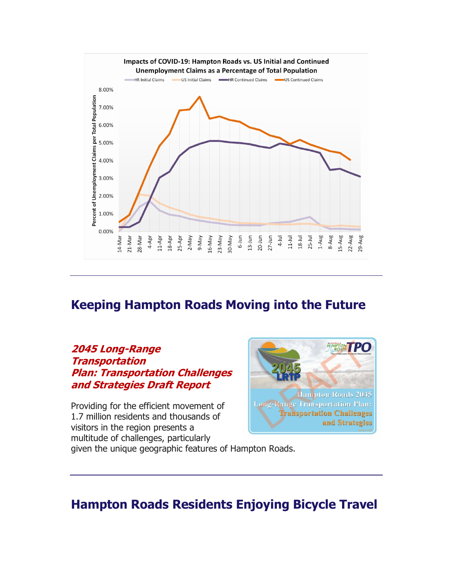

### **Keeping Hampton Roads Moving into the Future**

#### **[2045 Long-Range](http://r20.rs6.net/tn.jsp?f=001d5GhNGdUQJMlj9Sn_tsyOBYKzeNUrHEl2xqBHJdMnEVkIX8IGfQt1hIhPZmsDgAtBahanqeZaAS-X2Yi8hOu5KxIxPHVzPpoKrN6lhTPugDzoEkLb-8m8Hj3zQCx2kafrf0FbFCYzdIlSEm-5HVETDuNxkKu0yWIMgz4Ma-Yra2O0IuU9BsrhMTQmUTYWYaqUdUbjkoWn55KEVuE-XnCEwpo_aYEa-Kx85DQ9asFC95ELButIec8hhsMRgSl86vzo1jfkCIKPUUzMe5Us2D3Ynazp6dLq53h7oVgO7OeiaQdYUe9UfN62WYOrxSi2eenR0U72lQ4Xg8=&c=suWko0Nqf4LFc_iPddlmSqYyFRYv4XVheuAeA-sQvSpgb6a-PCoCBw==&ch=acaucqMRDFEuAsr6CmCYDA3koBCyc0i5bVi6iW4jvTjzKvPZhF0rCw==)  [Transportation](http://r20.rs6.net/tn.jsp?f=001d5GhNGdUQJMlj9Sn_tsyOBYKzeNUrHEl2xqBHJdMnEVkIX8IGfQt1hIhPZmsDgAtBahanqeZaAS-X2Yi8hOu5KxIxPHVzPpoKrN6lhTPugDzoEkLb-8m8Hj3zQCx2kafrf0FbFCYzdIlSEm-5HVETDuNxkKu0yWIMgz4Ma-Yra2O0IuU9BsrhMTQmUTYWYaqUdUbjkoWn55KEVuE-XnCEwpo_aYEa-Kx85DQ9asFC95ELButIec8hhsMRgSl86vzo1jfkCIKPUUzMe5Us2D3Ynazp6dLq53h7oVgO7OeiaQdYUe9UfN62WYOrxSi2eenR0U72lQ4Xg8=&c=suWko0Nqf4LFc_iPddlmSqYyFRYv4XVheuAeA-sQvSpgb6a-PCoCBw==&ch=acaucqMRDFEuAsr6CmCYDA3koBCyc0i5bVi6iW4jvTjzKvPZhF0rCw==)  Plan: [Transportation Challenges](http://r20.rs6.net/tn.jsp?f=001d5GhNGdUQJMlj9Sn_tsyOBYKzeNUrHEl2xqBHJdMnEVkIX8IGfQt1hIhPZmsDgAtBahanqeZaAS-X2Yi8hOu5KxIxPHVzPpoKrN6lhTPugDzoEkLb-8m8Hj3zQCx2kafrf0FbFCYzdIlSEm-5HVETDuNxkKu0yWIMgz4Ma-Yra2O0IuU9BsrhMTQmUTYWYaqUdUbjkoWn55KEVuE-XnCEwpo_aYEa-Kx85DQ9asFC95ELButIec8hhsMRgSl86vzo1jfkCIKPUUzMe5Us2D3Ynazp6dLq53h7oVgO7OeiaQdYUe9UfN62WYOrxSi2eenR0U72lQ4Xg8=&c=suWko0Nqf4LFc_iPddlmSqYyFRYv4XVheuAeA-sQvSpgb6a-PCoCBw==&ch=acaucqMRDFEuAsr6CmCYDA3koBCyc0i5bVi6iW4jvTjzKvPZhF0rCw==)  [and Strategies Draft Report](http://r20.rs6.net/tn.jsp?f=001d5GhNGdUQJMlj9Sn_tsyOBYKzeNUrHEl2xqBHJdMnEVkIX8IGfQt1hIhPZmsDgAtBahanqeZaAS-X2Yi8hOu5KxIxPHVzPpoKrN6lhTPugDzoEkLb-8m8Hj3zQCx2kafrf0FbFCYzdIlSEm-5HVETDuNxkKu0yWIMgz4Ma-Yra2O0IuU9BsrhMTQmUTYWYaqUdUbjkoWn55KEVuE-XnCEwpo_aYEa-Kx85DQ9asFC95ELButIec8hhsMRgSl86vzo1jfkCIKPUUzMe5Us2D3Ynazp6dLq53h7oVgO7OeiaQdYUe9UfN62WYOrxSi2eenR0U72lQ4Xg8=&c=suWko0Nqf4LFc_iPddlmSqYyFRYv4XVheuAeA-sQvSpgb6a-PCoCBw==&ch=acaucqMRDFEuAsr6CmCYDA3koBCyc0i5bVi6iW4jvTjzKvPZhF0rCw==)**

Providing for the efficient movement of 1.7 million residents and thousands of visitors in the region presents a multitude of challenges, particularly



given the unique geographic features of Hampton Roads.

### **Hampton Roads Residents Enjoying Bicycle Travel**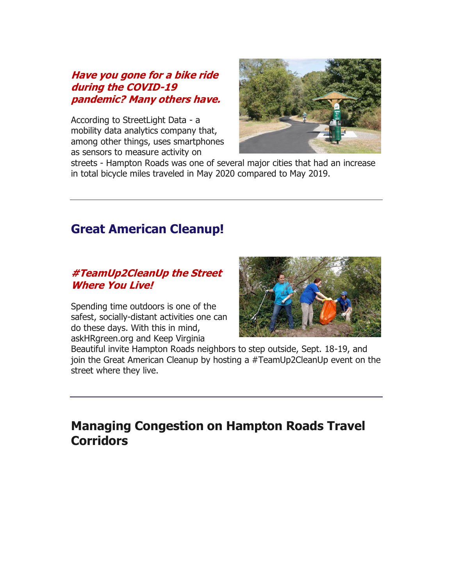#### **[Have you gone for a bike ride](http://r20.rs6.net/tn.jsp?f=001d5GhNGdUQJMlj9Sn_tsyOBYKzeNUrHEl2xqBHJdMnEVkIX8IGfQt1hIhPZmsDgAt-mnwL6Dpp7D1nHmSrTWABkNhdyLJQ6uHOei4nbmNl5H9agYC922yeOjZeKzjfbx-ZDH6AKV-gDmFphjam7T5s5yigB-eZUJFbnKViJmHaoojyhncCNV_jKrEax4nvUPRBkA6UNUs-Y_e8Ie0wnQKOEPaPvtdE4XuXWmM4bE1mXazn2ChY41FHAmYdfjcI1w7FTqmxIpPYmUUp9TWetY0_JeFYmHBTpM0RpQP6YJ5me6omTKWDw6Tjg==&c=suWko0Nqf4LFc_iPddlmSqYyFRYv4XVheuAeA-sQvSpgb6a-PCoCBw==&ch=acaucqMRDFEuAsr6CmCYDA3koBCyc0i5bVi6iW4jvTjzKvPZhF0rCw==)  [during the COVID-19](http://r20.rs6.net/tn.jsp?f=001d5GhNGdUQJMlj9Sn_tsyOBYKzeNUrHEl2xqBHJdMnEVkIX8IGfQt1hIhPZmsDgAt-mnwL6Dpp7D1nHmSrTWABkNhdyLJQ6uHOei4nbmNl5H9agYC922yeOjZeKzjfbx-ZDH6AKV-gDmFphjam7T5s5yigB-eZUJFbnKViJmHaoojyhncCNV_jKrEax4nvUPRBkA6UNUs-Y_e8Ie0wnQKOEPaPvtdE4XuXWmM4bE1mXazn2ChY41FHAmYdfjcI1w7FTqmxIpPYmUUp9TWetY0_JeFYmHBTpM0RpQP6YJ5me6omTKWDw6Tjg==&c=suWko0Nqf4LFc_iPddlmSqYyFRYv4XVheuAeA-sQvSpgb6a-PCoCBw==&ch=acaucqMRDFEuAsr6CmCYDA3koBCyc0i5bVi6iW4jvTjzKvPZhF0rCw==)  pandemic? [Many others have.](http://r20.rs6.net/tn.jsp?f=001d5GhNGdUQJMlj9Sn_tsyOBYKzeNUrHEl2xqBHJdMnEVkIX8IGfQt1hIhPZmsDgAt-mnwL6Dpp7D1nHmSrTWABkNhdyLJQ6uHOei4nbmNl5H9agYC922yeOjZeKzjfbx-ZDH6AKV-gDmFphjam7T5s5yigB-eZUJFbnKViJmHaoojyhncCNV_jKrEax4nvUPRBkA6UNUs-Y_e8Ie0wnQKOEPaPvtdE4XuXWmM4bE1mXazn2ChY41FHAmYdfjcI1w7FTqmxIpPYmUUp9TWetY0_JeFYmHBTpM0RpQP6YJ5me6omTKWDw6Tjg==&c=suWko0Nqf4LFc_iPddlmSqYyFRYv4XVheuAeA-sQvSpgb6a-PCoCBw==&ch=acaucqMRDFEuAsr6CmCYDA3koBCyc0i5bVi6iW4jvTjzKvPZhF0rCw==)**

According to StreetLight Data - a mobility data analytics company that, among other things, uses smartphones as sensors to measure activity on



streets - Hampton Roads was one of several major cities that had an increase in total bicycle miles traveled in May 2020 compared to May 2019.

### **Great American Cleanup!**

#### **[#TeamUp2CleanUp the Street](http://r20.rs6.net/tn.jsp?f=001d5GhNGdUQJMlj9Sn_tsyOBYKzeNUrHEl2xqBHJdMnEVkIX8IGfQt1hIhPZmsDgAthUdMBxqAivjPsxykOovE9WGj_x94zrDk6UG7N8AZ70d2GKqvf8WFsj9eNSKG8nvtJDsmXsLqLd83x_cfx1bIoqfGk-hKR0Xkxp0c8L6b4sOaMWNxRz5qVRBGAIreM8XwkcvpVvfw1cDoY-lMC3SU0tgqSsiCx3dFnYhK1v7Rw4joY7sSuot7zHt3-0wrWi_JUbTxeGp0XQSEdyJ894Ta6Q==&c=suWko0Nqf4LFc_iPddlmSqYyFRYv4XVheuAeA-sQvSpgb6a-PCoCBw==&ch=acaucqMRDFEuAsr6CmCYDA3koBCyc0i5bVi6iW4jvTjzKvPZhF0rCw==)  [Where You Live!](http://r20.rs6.net/tn.jsp?f=001d5GhNGdUQJMlj9Sn_tsyOBYKzeNUrHEl2xqBHJdMnEVkIX8IGfQt1hIhPZmsDgAthUdMBxqAivjPsxykOovE9WGj_x94zrDk6UG7N8AZ70d2GKqvf8WFsj9eNSKG8nvtJDsmXsLqLd83x_cfx1bIoqfGk-hKR0Xkxp0c8L6b4sOaMWNxRz5qVRBGAIreM8XwkcvpVvfw1cDoY-lMC3SU0tgqSsiCx3dFnYhK1v7Rw4joY7sSuot7zHt3-0wrWi_JUbTxeGp0XQSEdyJ894Ta6Q==&c=suWko0Nqf4LFc_iPddlmSqYyFRYv4XVheuAeA-sQvSpgb6a-PCoCBw==&ch=acaucqMRDFEuAsr6CmCYDA3koBCyc0i5bVi6iW4jvTjzKvPZhF0rCw==)**

Spending time outdoors is one of the safest, socially-distant activities one can do these days. With this in mind, askHRgreen.org and Keep Virginia



Beautiful invite Hampton Roads neighbors to step outside, Sept. 18-19, and join the Great American Cleanup by hosting a #TeamUp2CleanUp event on the street where they live.

### **Managing Congestion on Hampton Roads Travel Corridors**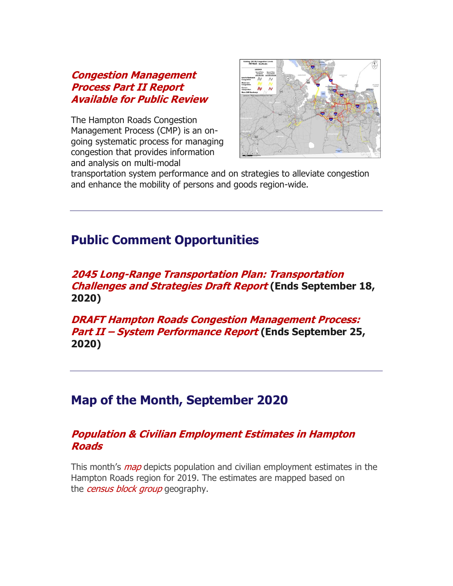#### **[Congestion Management](http://r20.rs6.net/tn.jsp?f=001d5GhNGdUQJMlj9Sn_tsyOBYKzeNUrHEl2xqBHJdMnEVkIX8IGfQt1hIhPZmsDgAt6wJ4awQzpOZyjKwjyPvHhV1PYXDKCMGZLu0036fUSdHmdt5CJq0NGYRFyQbRUcZ6vnFH4R9NXgIxmBShkyNr_cNpDplY3bjFIISjm-jN3doz_MAp1biOxH9z38wzYyI-z0Fm7V1pw0nDoj9Je28KBz2U_DlO2ScdSoEoT-qsu2IZ-CfU_9Fqi_h2nCGUf_yXbrS-JmG7PkBtC4PNRzRuVuuATrqJqiJNLOM8Qu8CQlQ=&c=suWko0Nqf4LFc_iPddlmSqYyFRYv4XVheuAeA-sQvSpgb6a-PCoCBw==&ch=acaucqMRDFEuAsr6CmCYDA3koBCyc0i5bVi6iW4jvTjzKvPZhF0rCw==)  [Process Part II Report](http://r20.rs6.net/tn.jsp?f=001d5GhNGdUQJMlj9Sn_tsyOBYKzeNUrHEl2xqBHJdMnEVkIX8IGfQt1hIhPZmsDgAt6wJ4awQzpOZyjKwjyPvHhV1PYXDKCMGZLu0036fUSdHmdt5CJq0NGYRFyQbRUcZ6vnFH4R9NXgIxmBShkyNr_cNpDplY3bjFIISjm-jN3doz_MAp1biOxH9z38wzYyI-z0Fm7V1pw0nDoj9Je28KBz2U_DlO2ScdSoEoT-qsu2IZ-CfU_9Fqi_h2nCGUf_yXbrS-JmG7PkBtC4PNRzRuVuuATrqJqiJNLOM8Qu8CQlQ=&c=suWko0Nqf4LFc_iPddlmSqYyFRYv4XVheuAeA-sQvSpgb6a-PCoCBw==&ch=acaucqMRDFEuAsr6CmCYDA3koBCyc0i5bVi6iW4jvTjzKvPZhF0rCw==)  [Available for Public Review](http://r20.rs6.net/tn.jsp?f=001d5GhNGdUQJMlj9Sn_tsyOBYKzeNUrHEl2xqBHJdMnEVkIX8IGfQt1hIhPZmsDgAt6wJ4awQzpOZyjKwjyPvHhV1PYXDKCMGZLu0036fUSdHmdt5CJq0NGYRFyQbRUcZ6vnFH4R9NXgIxmBShkyNr_cNpDplY3bjFIISjm-jN3doz_MAp1biOxH9z38wzYyI-z0Fm7V1pw0nDoj9Je28KBz2U_DlO2ScdSoEoT-qsu2IZ-CfU_9Fqi_h2nCGUf_yXbrS-JmG7PkBtC4PNRzRuVuuATrqJqiJNLOM8Qu8CQlQ=&c=suWko0Nqf4LFc_iPddlmSqYyFRYv4XVheuAeA-sQvSpgb6a-PCoCBw==&ch=acaucqMRDFEuAsr6CmCYDA3koBCyc0i5bVi6iW4jvTjzKvPZhF0rCw==)**

The Hampton Roads Congestion Management Process (CMP) is an ongoing systematic process for managing congestion that provides information and analysis on multi-modal



transportation system performance and on strategies to alleviate congestion and enhance the mobility of persons and goods region-wide.

### **Public Comment Opportunities**

#### **[2045 Long-Range Transportation Plan:](http://r20.rs6.net/tn.jsp?f=001d5GhNGdUQJMlj9Sn_tsyOBYKzeNUrHEl2xqBHJdMnEVkIX8IGfQt1hIhPZmsDgAtTDYoZeKuBFmSIM-XZHL9FICem7JMSfp3ctzLv4ZDaaGtViO8IGFbWTsOflk1nv9-pqq_96GI5yIdsgZUwbqPJzePo0vJanNbNC_bL6LebMNQkxxN3Q4SQcDDDEl9Cn1d8f9P0SEIfwhm5cqSFXSPxA==&c=suWko0Nqf4LFc_iPddlmSqYyFRYv4XVheuAeA-sQvSpgb6a-PCoCBw==&ch=acaucqMRDFEuAsr6CmCYDA3koBCyc0i5bVi6iW4jvTjzKvPZhF0rCw==) Transportation [Challenges and Strategies Draft Report](http://r20.rs6.net/tn.jsp?f=001d5GhNGdUQJMlj9Sn_tsyOBYKzeNUrHEl2xqBHJdMnEVkIX8IGfQt1hIhPZmsDgAtTDYoZeKuBFmSIM-XZHL9FICem7JMSfp3ctzLv4ZDaaGtViO8IGFbWTsOflk1nv9-pqq_96GI5yIdsgZUwbqPJzePo0vJanNbNC_bL6LebMNQkxxN3Q4SQcDDDEl9Cn1d8f9P0SEIfwhm5cqSFXSPxA==&c=suWko0Nqf4LFc_iPddlmSqYyFRYv4XVheuAeA-sQvSpgb6a-PCoCBw==&ch=acaucqMRDFEuAsr6CmCYDA3koBCyc0i5bVi6iW4jvTjzKvPZhF0rCw==) (Ends September 18, 2020)**

**[DRAFT Hampton Roads Congestion Management Process:](http://r20.rs6.net/tn.jsp?f=001d5GhNGdUQJMlj9Sn_tsyOBYKzeNUrHEl2xqBHJdMnEVkIX8IGfQt1qc5KmG7Okl9wHd-CHwYtibHySbgb04DG8TLUYg6Fw8YdW0ovKKQhqmny2JHxYIElTMnL1seDOzwXJH__y_QK65Oc4XR4x1kzqZmkljnewj1xUHwe8xxpEOz2IOiM54LF2p4Xdvbxu3s&c=suWko0Nqf4LFc_iPddlmSqYyFRYv4XVheuAeA-sQvSpgb6a-PCoCBw==&ch=acaucqMRDFEuAsr6CmCYDA3koBCyc0i5bVi6iW4jvTjzKvPZhF0rCw==)  Part II – [System Performance Report](http://r20.rs6.net/tn.jsp?f=001d5GhNGdUQJMlj9Sn_tsyOBYKzeNUrHEl2xqBHJdMnEVkIX8IGfQt1qc5KmG7Okl9wHd-CHwYtibHySbgb04DG8TLUYg6Fw8YdW0ovKKQhqmny2JHxYIElTMnL1seDOzwXJH__y_QK65Oc4XR4x1kzqZmkljnewj1xUHwe8xxpEOz2IOiM54LF2p4Xdvbxu3s&c=suWko0Nqf4LFc_iPddlmSqYyFRYv4XVheuAeA-sQvSpgb6a-PCoCBw==&ch=acaucqMRDFEuAsr6CmCYDA3koBCyc0i5bVi6iW4jvTjzKvPZhF0rCw==) (Ends September 25, 2020)**

### **Map of the Month, September 2020**

#### **[Population & Civilian Employment Estimates in Hampton](http://r20.rs6.net/tn.jsp?f=001d5GhNGdUQJMlj9Sn_tsyOBYKzeNUrHEl2xqBHJdMnEVkIX8IGfQt1hIhPZmsDgAtdOwERMgirOozQpPDf7UrMayt8Ql4ZqyxWQFO9vcaY3RaUGpYuW5X7quy8V172g44p1JYzCeTUKrjMs5nXYhfIV42X1ymGndUcqrmAI29USmOHRfsZBuiTpfMUvjebjzdNCDhXiJC-Pz0YL37vPPUQHX9p6XMUFaXSbtSKsp3G5-ZpsVS3St_iYBNgQS_eUGyFcxHGtE06kTrtLiUXmZpf425w7NndngLqb-0XG-pZ9VAV33ry6_I9cgg2sB2MFRp1B1VAJZ_GoliamFY__O2Pp0xAGrXCioUKKkSm6k2AG8=&c=suWko0Nqf4LFc_iPddlmSqYyFRYv4XVheuAeA-sQvSpgb6a-PCoCBw==&ch=acaucqMRDFEuAsr6CmCYDA3koBCyc0i5bVi6iW4jvTjzKvPZhF0rCw==)  [Roads](http://r20.rs6.net/tn.jsp?f=001d5GhNGdUQJMlj9Sn_tsyOBYKzeNUrHEl2xqBHJdMnEVkIX8IGfQt1hIhPZmsDgAtdOwERMgirOozQpPDf7UrMayt8Ql4ZqyxWQFO9vcaY3RaUGpYuW5X7quy8V172g44p1JYzCeTUKrjMs5nXYhfIV42X1ymGndUcqrmAI29USmOHRfsZBuiTpfMUvjebjzdNCDhXiJC-Pz0YL37vPPUQHX9p6XMUFaXSbtSKsp3G5-ZpsVS3St_iYBNgQS_eUGyFcxHGtE06kTrtLiUXmZpf425w7NndngLqb-0XG-pZ9VAV33ry6_I9cgg2sB2MFRp1B1VAJZ_GoliamFY__O2Pp0xAGrXCioUKKkSm6k2AG8=&c=suWko0Nqf4LFc_iPddlmSqYyFRYv4XVheuAeA-sQvSpgb6a-PCoCBw==&ch=acaucqMRDFEuAsr6CmCYDA3koBCyc0i5bVi6iW4jvTjzKvPZhF0rCw==)**

This month's *[map](http://r20.rs6.net/tn.jsp?f=001d5GhNGdUQJMlj9Sn_tsyOBYKzeNUrHEl2xqBHJdMnEVkIX8IGfQt1hIhPZmsDgAtQmP3gj1XpfGKDaPUJz-uT-bmcXePwdgxBprTRvJy7Fi9oDcrKLTKmdcKzf_B1y2bb7WhgPOGGHLO5IA1YuGMSngu65sRq65KDNFkDE7efhk=&c=suWko0Nqf4LFc_iPddlmSqYyFRYv4XVheuAeA-sQvSpgb6a-PCoCBw==&ch=acaucqMRDFEuAsr6CmCYDA3koBCyc0i5bVi6iW4jvTjzKvPZhF0rCw==)* depicts population and civilian employment estimates in the Hampton Roads region for 2019. The estimates are mapped based on the *[census block group](http://r20.rs6.net/tn.jsp?f=001d5GhNGdUQJMlj9Sn_tsyOBYKzeNUrHEl2xqBHJdMnEVkIX8IGfQt1hIhPZmsDgAtix-9DunxOHUxJBLZJP50J9UoXFqbea-DlbjIzPV3qTQdtczH_YUz5sSAOrP6utWaFVTLCkL9LaqVj4WOW4w_b6UyzgXl8mDHg-LldorWGn-qio0tF2k1y8Qk37QIICq0WFX8XxIRYgcCBa21pC9Pv22KKFaE63FdroCwqlFlCZs=&c=suWko0Nqf4LFc_iPddlmSqYyFRYv4XVheuAeA-sQvSpgb6a-PCoCBw==&ch=acaucqMRDFEuAsr6CmCYDA3koBCyc0i5bVi6iW4jvTjzKvPZhF0rCw==)* geography.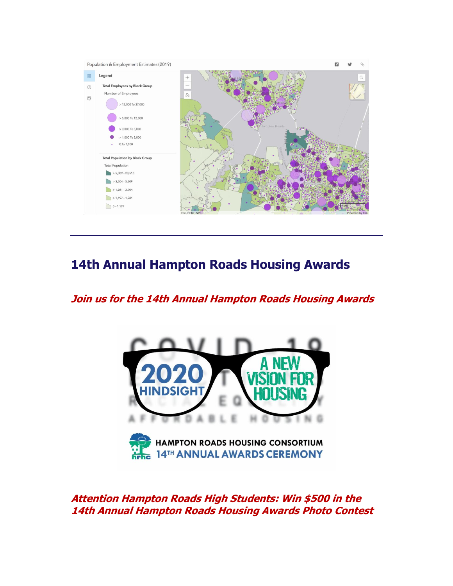

## **14th Annual Hampton Roads Housing Awards**

### **[Join us for the 14th Annual Hampton Roads Housing Awards](http://r20.rs6.net/tn.jsp?f=001d5GhNGdUQJMlj9Sn_tsyOBYKzeNUrHEl2xqBHJdMnEVkIX8IGfQt1hIhPZmsDgAtuC2BndviKdSo1ZIVBrGpDz67U0auu3yFa1OdfmzzjR1_WzTZmKB3w2r1pEtVvqY4uHK3C4zh4abO6oUGl3qQxj6SsNwtG5W8&c=suWko0Nqf4LFc_iPddlmSqYyFRYv4XVheuAeA-sQvSpgb6a-PCoCBw==&ch=acaucqMRDFEuAsr6CmCYDA3koBCyc0i5bVi6iW4jvTjzKvPZhF0rCw==)**



**[Attention Hampton Roads High Students: Win \\$500 in the](http://r20.rs6.net/tn.jsp?f=001d5GhNGdUQJMlj9Sn_tsyOBYKzeNUrHEl2xqBHJdMnEVkIX8IGfQt1hIhPZmsDgAtuC2BndviKdSo1ZIVBrGpDz67U0auu3yFa1OdfmzzjR1_WzTZmKB3w2r1pEtVvqY4uHK3C4zh4abO6oUGl3qQxj6SsNwtG5W8&c=suWko0Nqf4LFc_iPddlmSqYyFRYv4XVheuAeA-sQvSpgb6a-PCoCBw==&ch=acaucqMRDFEuAsr6CmCYDA3koBCyc0i5bVi6iW4jvTjzKvPZhF0rCw==)  [14th Annual Hampton Roads Housing Awards Photo Contest](http://r20.rs6.net/tn.jsp?f=001d5GhNGdUQJMlj9Sn_tsyOBYKzeNUrHEl2xqBHJdMnEVkIX8IGfQt1hIhPZmsDgAtuC2BndviKdSo1ZIVBrGpDz67U0auu3yFa1OdfmzzjR1_WzTZmKB3w2r1pEtVvqY4uHK3C4zh4abO6oUGl3qQxj6SsNwtG5W8&c=suWko0Nqf4LFc_iPddlmSqYyFRYv4XVheuAeA-sQvSpgb6a-PCoCBw==&ch=acaucqMRDFEuAsr6CmCYDA3koBCyc0i5bVi6iW4jvTjzKvPZhF0rCw==)**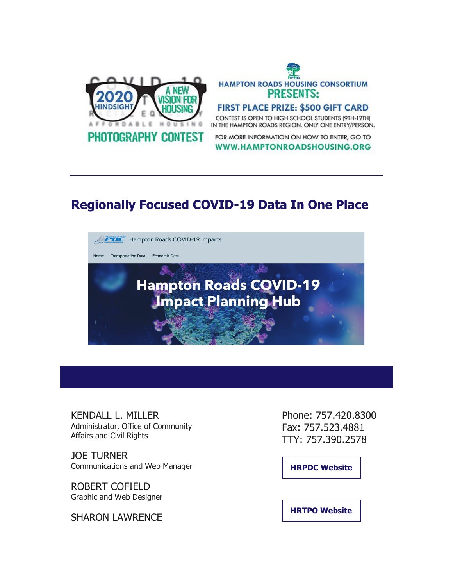

# **HAMPTON ROADS HOUSING CONSORTIUM PRESENTS:** FIRST PLACE PRIZE: \$500 GIFT CARD

CONTEST IS OPEN TO HIGH SCHOOL STUDENTS (9TH-12TH) IN THE HAMPTON ROADS REGION. ONLY ONE ENTRY/PERSON.

FOR MORE INFORMATION ON HOW TO ENTER, GO TO WWW.HAMPTONROADSHOUSING.ORG

### **Regionally Focused COVID-19 Data In One Place**



KENDALL L. MILLER Administrator, Office of Community Affairs and Civil Rights

JOE TURNER Communications and Web Manager

ROBERT COFIELD Graphic and Web Designer

SHARON LAWRENCE

Phone: 757.420.8300 Fax: 757.523.4881 TTY: 757.390.2578

**[HRPDC Website](http://r20.rs6.net/tn.jsp?f=001d5GhNGdUQJMlj9Sn_tsyOBYKzeNUrHEl2xqBHJdMnEVkIX8IGfQt1mR-XncmWzxtr3uaObLaElE2fFs9vOV73yDjDTbY9Txj9tgI4q2gcUeiEGtkuae9JOczFvYrSTULK8iFJb2zoB6-3hfgoy04Bg==&c=suWko0Nqf4LFc_iPddlmSqYyFRYv4XVheuAeA-sQvSpgb6a-PCoCBw==&ch=acaucqMRDFEuAsr6CmCYDA3koBCyc0i5bVi6iW4jvTjzKvPZhF0rCw==)**

**[HRTPO Website](http://r20.rs6.net/tn.jsp?f=001d5GhNGdUQJMlj9Sn_tsyOBYKzeNUrHEl2xqBHJdMnEVkIX8IGfQt1mR-XncmWzxtgcbwDN1zCU1H3RoB2RL_h65pz_0e_CjP-ohw9OlluAdGXFdy_gFLNBuauZlTTNkeaaqgjdF618I=&c=suWko0Nqf4LFc_iPddlmSqYyFRYv4XVheuAeA-sQvSpgb6a-PCoCBw==&ch=acaucqMRDFEuAsr6CmCYDA3koBCyc0i5bVi6iW4jvTjzKvPZhF0rCw==)**